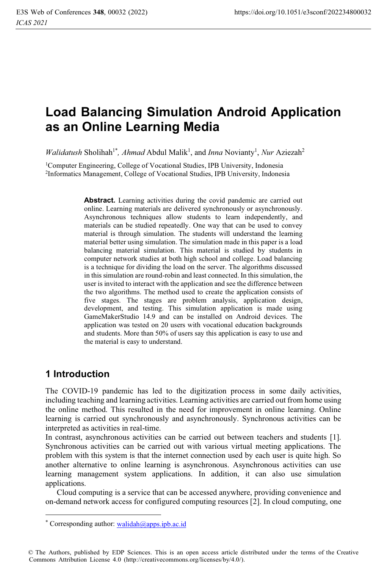# **Load Balancing Simulation Android Application as an Online Learning Media**

*Walidatush* Sholihah<sup>1\*</sup>, Ahmad Abdul Malik<sup>1</sup>, and *Inna* Novianty<sup>1</sup>, Nur Aziezah<sup>2</sup>

<sup>1</sup>Computer Engineering, College of Vocational Studies, IPB University, Indonesia<br><sup>2</sup>Informatics Management, College of Vocational Studies, IPB University, Indonesia

Abstract. Learning activities during the covid pandemic are carried out online. Learning materials are delivered synchronously or asynchronously. Asynchronous techniques allow students to learn independently, and materials can be studied repeatedly. One way that can be used to convey material is through simulation. The students will understand the learning material better using simulation. The simulation made in this paper is a load balancing material simulation. This material is studied by students in computer network studies at both high school and college. Load balancing is a technique for dividing the load on the server. The algorithms discussed in this simulation are round-robin and least connected. In this simulation, the user is invited to interact with the application and see the difference between the two algorithms. The method used to create the application consists of five stages. The stages are problem analysis, application design, development, and testing. This simulation application is made using GameMakerStudio 14.9 and can be installed on Android devices. The application was tested on 20 users with vocational education backgrounds and students. More than 50% of users say this application is easy to use and the material is easy to understand.

# **1 Introduction**

The COVID-19 pandemic has led to the digitization process in some daily activities, including teaching and learning activities. Learning activities are carried out from home using the online method. This resulted in the need for improvement in online learning. Online learning is carried out synchronously and asynchronously. Synchronous activities can be interpreted as activities in real-time.

In contrast, asynchronous activities can be carried out between teachers and students [1]. Synchronous activities can be carried out with various virtual meeting applications. The problem with this system is that the internet connection used by each user is quite high. So another alternative to online learning is asynchronous. Asynchronous activities can use learning management system applications. In addition, it can also use simulation applications.

Cloud computing is a service that can be accessed anywhere, providing convenience and on-demand network access for configured computing resources [2]. In cloud computing, one

<sup>\*</sup> Corresponding author: walidah@apps.ipb.ac.id

<sup>©</sup> The Authors, published by EDP Sciences. This is an open access article distributed under the terms of the Creative Commons Attribution License 4.0 (http://creativecommons.org/licenses/by/4.0/).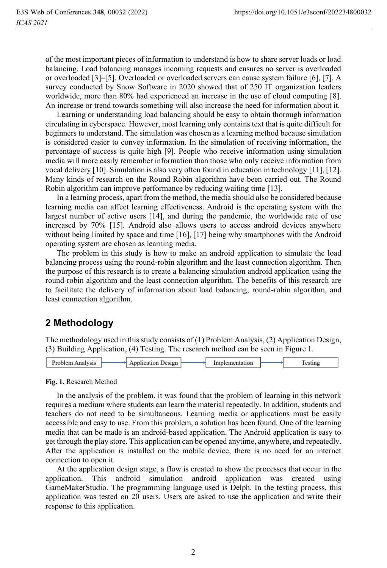of the most important pieces of information to understand is how to share server loads or load balancing. Load balancing manages incoming requests and ensures no server is overloaded or overloaded [3]–[5]. Overloaded or overloaded servers can cause system failure [6], [7]. A survey conducted by Snow Software in 2020 showed that of 250 IT organization leaders worldwide, more than 80% had experienced an increase in the use of cloud computing [8]. An increase or trend towards something will also increase the need for information about it.

Learning or understanding load balancing should be easy to obtain thorough information circulating in cyberspace. However, most learning only contains text that is quite difficult for beginners to understand. The simulation was chosen as a learning method because simulation is considered easier to convey information. In the simulation of receiving information, the percentage of success is quite high [9]. People who receive information using simulation media will more easily remember information than those who only receive information from vocal delivery [10]. Simulation is also very often found in education in technology [11], [12]. Many kinds of research on the Round Robin algorithm have been carried out. The Round Robin algorithm can improve performance by reducing waiting time [13].

In a learning process, apart from the method, the media should also be considered because learning media can affect learning effectiveness. Android is the operating system with the largest number of active users [14], and during the pandemic, the worldwide rate of use increased by 70% [15]. Android also allows users to access android devices anywhere without being limited by space and time [16], [17] being why smartphones with the Android operating system are chosen as learning media.

The problem in this study is how to make an android application to simulate the load balancing process using the round-robin algorithm and the least connection algorithm. Then the purpose of this research is to create a balancing simulation android application using the round-robin algorithm and the least connection algorithm. The benefits of this research are to facilitate the delivery of information about load balancing, round-robin algorithm, and least connection algorithm.

# **2 Methodology**

The methodology used in this study consists of (1) Problem Analysis, (2) Application Design, (3) Building Application, (4) Testing. The research method can be seen in Figure 1.

| <sup>-</sup> Problem<br>Desion<br>.<br>21. |  |
|--------------------------------------------|--|
|--------------------------------------------|--|

### **Fig. 1.** Research Method

In the analysis of the problem, it was found that the problem of learning in this network requires a medium where students can learn the material repeatedly. In addition, students and teachers do not need to be simultaneous. Learning media or applications must be easily accessible and easy to use. From this problem, a solution has been found. One of the learning media that can be made is an android-based application. The Android application is easy to get through the play store. This application can be opened anytime, anywhere, and repeatedly. After the application is installed on the mobile device, there is no need for an internet connection to open it.

At the application design stage, a flow is created to show the processes that occur in the application. This android simulation android application was created using GameMakerStudio. The programming language used is Delph. In the testing process, this application was tested on 20 users. Users are asked to use the application and write their response to this application.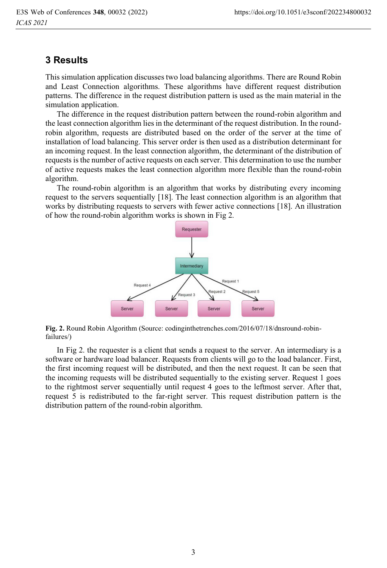### **3 Results**

This simulation application discusses two load balancing algorithms. There are Round Robin and Least Connection algorithms. These algorithms have different request distribution patterns. The difference in the request distribution pattern is used as the main material in the simulation application.

The difference in the request distribution pattern between the round-robin algorithm and the least connection algorithm lies in the determinant of the request distribution. In the roundrobin algorithm, requests are distributed based on the order of the server at the time of installation of load balancing. This server order is then used as a distribution determinant for an incoming request. In the least connection algorithm, the determinant of the distribution of requests is the number of active requests on each server. This determination to use the number of active requests makes the least connection algorithm more flexible than the round-robin algorithm.

The round-robin algorithm is an algorithm that works by distributing every incoming request to the servers sequentially [18]. The least connection algorithm is an algorithm that works by distributing requests to servers with fewer active connections [18]. An illustration of how the round-robin algorithm works is shown in Fig 2.



**Fig. 2.** Round Robin Algorithm (Source: codinginthetrenches.com/2016/07/18/dnsround-robinfailures/)

In Fig 2. the requester is a client that sends a request to the server. An intermediary is a software or hardware load balancer. Requests from clients will go to the load balancer. First, the first incoming request will be distributed, and then the next request. It can be seen that the incoming requests will be distributed sequentially to the existing server. Request 1 goes to the rightmost server sequentially until request 4 goes to the leftmost server. After that, request 5 is redistributed to the far-right server. This request distribution pattern is the distribution pattern of the round-robin algorithm.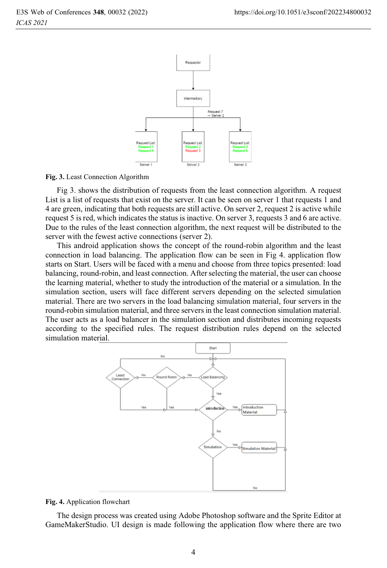

#### **Fig. 3.** Least Connection Algorithm

Fig 3. shows the distribution of requests from the least connection algorithm. A request List is a list of requests that exist on the server. It can be seen on server 1 that requests 1 and 4 are green, indicating that both requests are still active. On server 2, request 2 is active while request 5 is red, which indicates the status is inactive. On server 3, requests 3 and 6 are active. Due to the rules of the least connection algorithm, the next request will be distributed to the server with the fewest active connections (server 2).

This android application shows the concept of the round-robin algorithm and the least connection in load balancing. The application flow can be seen in Fig 4. application flow starts on Start. Users will be faced with a menu and choose from three topics presented: load balancing, round-robin, and least connection. After selecting the material, the user can choose the learning material, whether to study the introduction of the material or a simulation. In the simulation section, users will face different servers depending on the selected simulation material. There are two servers in the load balancing simulation material, four servers in the round-robin simulation material, and three servers in the least connection simulation material. The user acts as a load balancer in the simulation section and distributes incoming requests according to the specified rules. The request distribution rules depend on the selected simulation material.



### **Fig. 4.** Application flowchart

The design process was created using Adobe Photoshop software and the Sprite Editor at GameMakerStudio. UI design is made following the application flow where there are two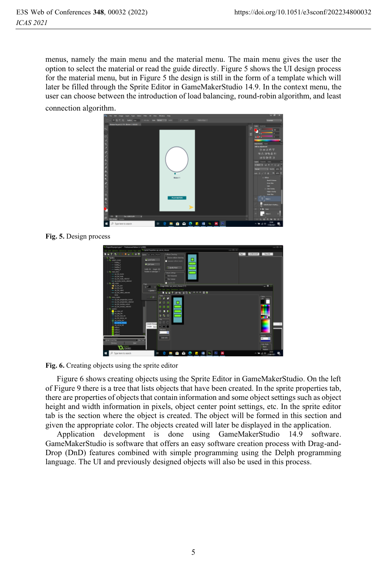menus, namely the main menu and the material menu. The main menu gives the user the option to select the material or read the guide directly. Figure 5 shows the UI design process for the material menu, but in Figure 5 the design is still in the form of a template which will later be filled through the Sprite Editor in GameMakerStudio 14.9. In the context menu, the user can choose between the introduction of load balancing, round-robin algorithm, and least connection algorithm.



**Fig. 5.** Design process

| 15 Freist Standard and 1. Perfectional Edition (c1.2 1995)                                                                                                                                                                                                                                                                                                                                            |                                                                                                                                                                                                                                                               | $-0$ x                                                                                       |
|-------------------------------------------------------------------------------------------------------------------------------------------------------------------------------------------------------------------------------------------------------------------------------------------------------------------------------------------------------------------------------------------------------|---------------------------------------------------------------------------------------------------------------------------------------------------------------------------------------------------------------------------------------------------------------|----------------------------------------------------------------------------------------------|
|                                                                                                                                                                                                                                                                                                                                                                                                       | Which Pearlies are sever choos-                                                                                                                                                                                                                               | $= 0 x$                                                                                      |
| ٠<br>$8 - 12 = 1$                                                                                                                                                                                                                                                                                                                                                                                     | Calico Clecking<br>Sant in any drove                                                                                                                                                                                                                          | Pad 1<br>VOIDER  <br>New OE                                                                  |
| -<br>to rainfurnee<br>$-$ badro 1<br>- Index 2<br>$=$ ballro, $>$<br>$-$ late $t$<br>C. Bell mark manual<br>$=$ 10 M koro<br>on on his rain<br>- so in his second<br>we can below herein adjacted                                                                                                                                                                                                     | Period collates charters<br>Michael Sole<br>Separate collaborated<br><b>A La Luis</b><br><b>IT MARINE</b><br>Video St., Happy 302<br><b><i><u>Number of submissions</u></i></b> 1<br>Tetus Setup<br>The Halpbreak<br>The Verical<br>$\blacksquare$ Used to 30 |                                                                                              |
| G-fa 18, neel<br>$40.16 \text{ km}$<br><b>Mar and Adams</b><br>$= 1013h$ 1607<br>was not bis salest indexted<br>Array<br>10 Sal Long Admi<br>sa ex bis pargandos somal<br>www.star.dec.gov.gov.alus.com/<br>so an in make room.<br>and the Mr. Strubal, related<br><b>E-Sa sinder</b><br><b>B</b> rot, AAL AV<br><b>R</b> or the fac<br>car file want sies<br>er all ble before air<br>Miller and Jan | <sup>64</sup> Energy Editor, springers of energy (1/1)<br>X<br>$\sqrt{6}$<br>о<br>ы<br>п<br><b>B N O</b><br>÷                                                                                                                                                 | $ \sigma$<br>Calors<br><b>LARL ROBS</b><br>. .                                               |
| <b>W. Mary Printer</b><br>sat server list<br>sakut.<br>sation)<br>orbox <sup>3</sup><br>سم<br><b>Scholar West Eng</b><br>1 Film Tow<br><b>Mark</b><br>Person<br>$\alpha$ and $\alpha$<br>O Type here to search<br>п                                                                                                                                                                                   | 日日<br>angle Heres<br>.<br><b>Comple</b> Base<br><b>Corpor</b><br>Color ento<br><b>SEBOCES</b><br>D)<br>AN.                                                                                                                                                    | <b>Grach</b><br>388<br>Cally Mode<br>Servi<br>$\sim$ 500<br>A <sub>0</sub><br><b>CHACHOL</b> |

**Fig. 6.** Creating objects using the sprite editor

Figure 6 shows creating objects using the Sprite Editor in GameMakerStudio. On the left of Figure 9 there is a tree that lists objects that have been created. In the sprite properties tab, there are properties of objects that contain information and some object settings such as object height and width information in pixels, object center point settings, etc. In the sprite editor tab is the section where the object is created. The object will be formed in this section and given the appropriate color. The objects created will later be displayed in the application.

Application development is done using GameMakerStudio 14.9 software. GameMakerStudio is software that offers an easy software creation process with Drag-and-Drop (DnD) features combined with simple programming using the Delph programming language. The UI and previously designed objects will also be used in this process.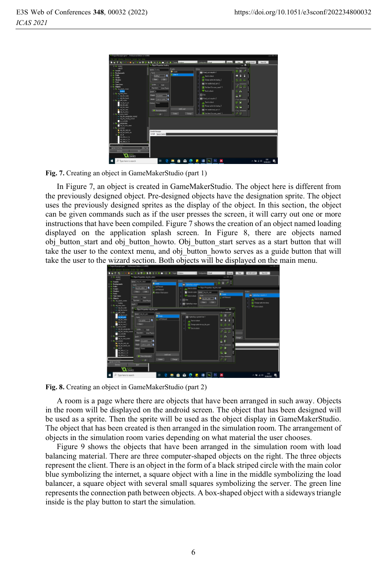| Th Project Thipminstrams" - Professional Edition (+1.4.5590) |                                           |                                            | $-$ 0 $\times$                   |
|--------------------------------------------------------------|-------------------------------------------|--------------------------------------------|----------------------------------|
|                                                              |                                           |                                            |                                  |
|                                                              | <b>A Local Visitor</b>                    | v Contactor Data                           | V Hyun Ref 1<br><b>MONE NVCC</b> |
| it is under                                                  | <b>D. Olivi Properties Insting</b>        |                                            | - -                              |
| gain20<br><b>In South</b>                                    | <b>Emb</b><br><b>None</b> <i>Institut</i> | <b>Automo</b>                              | <b>AMAGEMENT</b>                 |
| - la barkgrounds                                             | $\bullet$ Costs                           | <b>WE That an impatin 1</b>                | 罷                                |
| <b>List Pada</b>                                             | <b>Galleri</b><br>hairg. 1                | <b>Stat of alderda</b>                     |                                  |
| de Sodele                                                    |                                           |                                            |                                  |
| de Shadon<br><b>Grant</b>                                    | The Lot                                   | <b>E</b> Dance with inclosing 2            | $50 - 44$                        |
| de Ties Lines                                                | $-16436$                                  | Serval disk bod. prior?                    | <b>Long Corp.</b>                |
| to Oldsto                                                    | $-504$                                    | (b) Schlam Denoming and 13                 | 大作品                              |
| Life di pich, com                                            | Feiner Um Ryke                            |                                            |                                  |
| <b>Birds</b>                                                 | Depty 1                                   | <b>Windship</b>                            | ×                                |
| <b>G. ALTAN ARE</b><br>$-$ di in nis                         | Panel<br>Superb.                          | <b>STACKS</b>                              | к                                |
| - di lik lanta                                               |                                           | <b>WE Float on Executive</b> ?             | ш                                |
| C-to cli sin most                                            | <b>TAGE</b><br><b>Cone or grind</b>       |                                            | <b>I Policia</b>                 |
| <b>HK 34 HK 346</b>                                          | <b>Dides Hore</b>                         | A Ret of ablack                            | ×<br>w                           |
| add him power                                                |                                           | <b>DE Change selle His backs 3</b>         |                                  |
| $=$ di to sec<br>to diction and                              | ASS AVE                                   | as followide but yello?                    | î.                               |
| als move.)                                                   | <sup>19</sup> Show Information            |                                            |                                  |
| 17 to 18 kers here                                           | Dietal<br>Dakes 1<br>$\times$             | <b>B</b> In Alan Etcnon gend <sup>+1</sup> | 大世                               |
| - IL In promote remai                                        |                                           |                                            |                                  |
| - the tree simulasi exempt<br>m, ratidas                     |                                           |                                            |                                  |
| the companies                                                |                                           |                                            |                                  |
| do muset new                                                 |                                           |                                            |                                  |
| C-56 ISL Holed                                               |                                           |                                            |                                  |
| $\blacktriangleright$ di the sect in                         | Comple Memorant                           |                                            |                                  |
| 4 ALM Minute<br><b>SUMMER</b>                                | Corole GuyerCores                         |                                            |                                  |
| eld debt in Car                                              |                                           |                                            |                                  |
| <b>IN AN X T.A.</b>                                          |                                           |                                            |                                  |
| 46,446,6254                                                  |                                           |                                            |                                  |
|                                                              |                                           |                                            |                                  |
| <b>Software Novel Dress</b><br>- Edw Twee                    |                                           |                                            |                                  |
| <b>Unit</b><br><b>Parisa</b>                                 |                                           |                                            |                                  |
| $\alpha$ and $\alpha$                                        |                                           |                                            |                                  |
|                                                              |                                           |                                            |                                  |
| D. Saw here to search<br>-                                   | <b>ARACARA</b> NE<br><b>bH</b>            |                                            | $0 - 40$<br>入输出帐                 |

**Fig. 7.** Creating an object in GameMakerStudio (part 1)

In Figure 7, an object is created in GameMakerStudio. The object here is different from the previously designed object. Pre-designed objects have the designation sprite. The object uses the previously designed sprites as the display of the object. In this section, the object can be given commands such as if the user presses the screen, it will carry out one or more instructions that have been compiled. Figure 7 shows the creation of an object named loading displayed on the application splash screen. In Figure 8, there are objects named obj button start and obj button howto. Obj button start serves as a start button that will take the user to the context menu, and obj button howto serves as a guide button that will take the user to the wizard section. Both objects will be displayed on the main menu.



**Fig. 8.** Creating an object in GameMakerStudio (part 2)

A room is a page where there are objects that have been arranged in such away. Objects in the room will be displayed on the android screen. The object that has been designed will be used as a sprite. Then the sprite will be used as the object display in GameMakerStudio. The object that has been created is then arranged in the simulation room. The arrangement of objects in the simulation room varies depending on what material the user chooses.

Figure 9 shows the objects that have been arranged in the simulation room with load balancing material. There are three computer-shaped objects on the right. The three objects represent the client. There is an object in the form of a black striped circle with the main color blue symbolizing the internet, a square object with a line in the middle symbolizing the load balancer, a square object with several small squares symbolizing the server. The green line represents the connection path between objects. A box-shaped object with a sideways triangle inside is the play button to start the simulation.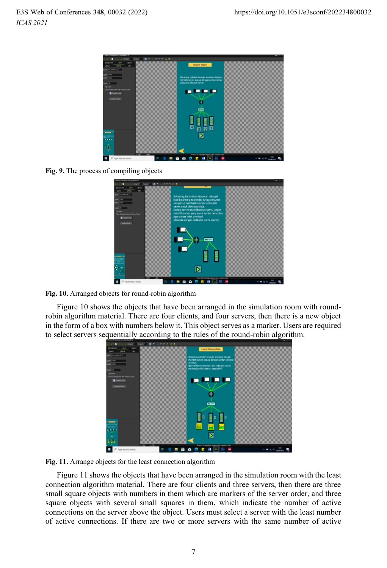

**Fig. 9.** The process of compiling objects

| on Proporties are sim<br><b>THE REAL</b>                       | e a<br><b>The View</b>                                                                                               |                  |
|----------------------------------------------------------------|----------------------------------------------------------------------------------------------------------------------|------------------|
| teckpound<br>sturica<br>tike.                                  |                                                                                                                      |                  |
| <b>Sales</b> Inc. Services<br>on.<br>1 Bit                     | Sekarang, kamu akan berperan sebagai<br>load balancing itu sendiri, tunggu request                                   |                  |
| <b>BIGHT JUST</b><br>m<br>Pavine                               | sampai ke load balancer lalu coba pilih<br>server untuk distribusi data.<br>Semua server spesifikasinya sama, jangan |                  |
| One Digita Bullet with Infeder-Colour<br><b>D</b> Coulor color | memilih server yang sama secara berurutan<br>ager server tidak overload<br>(ditandai dengan indikator warna merah)   |                  |
| <b>Johanna Drive</b>                                           |                                                                                                                      |                  |
|                                                                | €                                                                                                                    |                  |
|                                                                |                                                                                                                      |                  |
|                                                                |                                                                                                                      |                  |
| $\overline{a}$                                                 | D                                                                                                                    |                  |
| 89                                                             | Peer Ctc-highlight chieds with creation code<br><b>Yes</b>                                                           |                  |
| Type here to search                                            | E1<br>ш<br>≃<br>林<br>ы<br><b>B</b>                                                                                   | q,<br>15/06/3071 |

**Fig. 10.** Arranged objects for round-robin algorithm

Figure 10 shows the objects that have been arranged in the simulation room with roundrobin algorithm material. There are four clients, and four servers, then there is a new object in the form of a box with numbers below it. This object serves as a marker. Users are required to select servers sequentially according to the rules of the round-robin algorithm.



**Fig. 11.** Arrange objects for the least connection algorithm

Figure 11 shows the objects that have been arranged in the simulation room with the least connection algorithm material. There are four clients and three servers, then there are three small square objects with numbers in them which are markers of the server order, and three square objects with several small squares in them, which indicate the number of active connections on the server above the object. Users must select a server with the least number of active connections. If there are two or more servers with the same number of active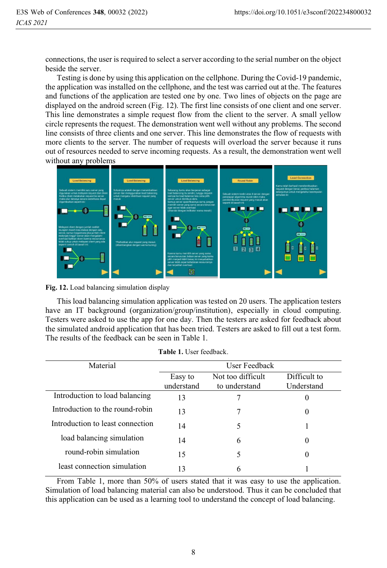connections, the user is required to select a server according to the serial number on the object beside the server.

Testing is done by using this application on the cellphone. During the Covid-19 pandemic, the application was installed on the cellphone, and the test was carried out at the. The features and functions of the application are tested one by one. Two lines of objects on the page are displayed on the android screen (Fig. 12). The first line consists of one client and one server. This line demonstrates a simple request flow from the client to the server. A small yellow circle represents the request. The demonstration went well without any problems. The second line consists of three clients and one server. This line demonstrates the flow of requests with more clients to the server. The number of requests will overload the server because it runs out of resources needed to serve incoming requests. As a result, the demonstration went well without any problems



**Fig. 12.** Load balancing simulation display

This load balancing simulation application was tested on 20 users. The application testers have an IT background (organization/group/institution), especially in cloud computing. Testers were asked to use the app for one day. Then the testers are asked for feedback about the simulated android application that has been tried. Testers are asked to fill out a test form. The results of the feedback can be seen in Table 1.

| Material                         | User Feedback         |                                    |                            |  |
|----------------------------------|-----------------------|------------------------------------|----------------------------|--|
|                                  | Easy to<br>understand | Not too difficult<br>to understand | Difficult to<br>Understand |  |
| Introduction to load balancing   | 13                    |                                    | $\theta$                   |  |
| Introduction to the round-robin  | 13                    |                                    | $\theta$                   |  |
| Introduction to least connection | 14                    | 5                                  |                            |  |
| load balancing simulation        | 14                    | 6                                  | $\theta$                   |  |
| round-robin simulation           | 15                    |                                    | $\theta$                   |  |
| least connection simulation      | 13                    | 6                                  |                            |  |

**Table 1.** User feedback.

From Table 1, more than 50% of users stated that it was easy to use the application. Simulation of load balancing material can also be understood. Thus it can be concluded that this application can be used as a learning tool to understand the concept of load balancing.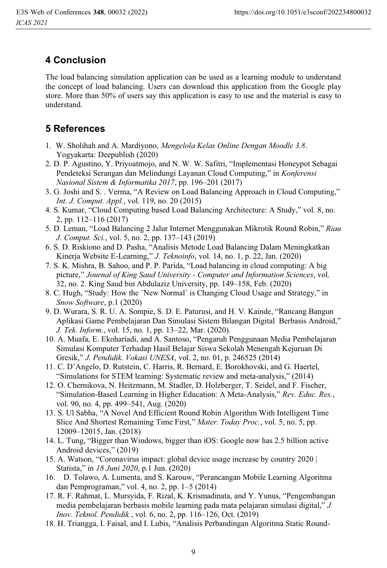# **4 Conclusion**

The load balancing simulation application can be used as a learning module to understand the concept of load balancing. Users can download this application from the Google play store. More than 50% of users say this application is easy to use and the material is easy to understand.

# **5 References**

- 1. W. Sholihah and A. Mardiyono, *Mengelola Kelas Online Dengan Moodle 3.8*. Yogyakarta: Deepublish (2020)
- 2. D. P. Agustino, Y. Priyoatmojo, and N. W. W. Safitri, "Implementasi Honeypot Sebagai Pendeteksi Serangan dan Melindungi Layanan Cloud Computing," in *Konferensi Nasional Sistem & Informatika 2017*, pp. 196–201 (2017)
- 3. G. Joshi and S. . Verma, "A Review on Load Balancing Approach in Cloud Computing," *Int. J. Comput. Appl.*, vol. 119, no. 20 (2015)
- 4. S. Kumar, "Cloud Computing based Load Balancing Architecture: A Study," vol. 8, no. 2, pp. 112–116 (2017)
- 5. D. Leman, "Load Balancing 2 Jalur Internet Menggunakan Mikrotik Round Robin," *Riau J. Comput. Sci.*, vol. 5, no. 2, pp. 137–143 (2019)
- 6. S. D. Riskiono and D. Pasha, "Analisis Metode Load Balancing Dalam Meningkatkan Kinerja Website E-Learning," *J. Teknoinfo*, vol. 14, no. 1, p. 22, Jan. (2020)
- 7. S. K. Mishra, B. Sahoo, and P. P. Parida, "Load balancing in cloud computing: A big picture," *Journal of King Saud University - Computer and Information Sciences*, vol. 32, no. 2. King Saud bin Abdulaziz University, pp. 149–158, Feb. (2020)
- 8. C. Hugh, "Study: How the `New Normal` is Changing Cloud Usage and Strategy," in *Snow Software*, p.1 (2020)
- 9. D. Wurara, S. R. U. A. Sompie, S. D. E. Paturusi, and H. V. Kainde, "Rancang Bangun Aplikasi Game Pembelajaran Dan Simulasi Sistem Bilangan Digital Berbasis Android," *J. Tek. Inform.*, vol. 15, no. 1, pp. 13–22, Mar. (2020).
- 10. A. Muafa, E. Ekohariadi, and A. Santoso, "Pengaruh Penggunaan Media Pembelajaran Simulasi Komputer Terhadap Hasil Belajar Siswa Sekolah Menengah Kejuruan Di Gresik," *J. Pendidik. Vokasi UNESA*, vol. 2, no. 01, p. 246525 (2014)
- 11. C. D'Angelo, D. Rutstein, C. Harris, R. Bernard, E. Borokhovski, and G. Haertel, "Simulations for STEM learning: Systematic review and meta-analysis," (2014)
- 12. O. Chernikova, N. Heitzmann, M. Stadler, D. Holzberger, T. Seidel, and F. Fischer, "Simulation-Based Learning in Higher Education: A Meta-Analysis," *Rev. Educ. Res.*, vol. 90, no. 4, pp. 499–541, Aug. (2020)
- 13. S. Ul Sabha, "A Novel And Efficient Round Robin Algorithm With Intelligent Time Slice And Shortest Remaining Time First," *Mater. Today Proc.*, vol. 5, no. 5, pp. 12009–12015, Jan. (2018)
- 14. L. Tung, "Bigger than Windows, bigger than iOS: Google now has 2.5 billion active Android devices," (2019)
- 15. A. Watson, "Coronavirus impact: global device usage increase by country 2020 | Statista," in *18 Juni 2020*, p.1 Jun. (2020)
- 16. D. Tolawo, A. Lumenta, and S. Karouw, "Perancangan Mobile Learning Algoritma dan Pemprograman," vol. 4, no. 2, pp. 1–5 (2014)
- 17. R. F. Rahmat, L. Mursyida, F. Rizal, K. Krismadinata, and Y. Yunus, "Pengembangan media pembelajaran berbasis mobile learning pada mata pelajaran simulasi digital," *J. Inov. Teknol. Pendidik.*, vol. 6, no. 2, pp. 116–126, Oct. (2019)
- 18. H. Triangga, I. Faisal, and I. Lubis, "Analisis Perbandingan Algoritma Static Round-